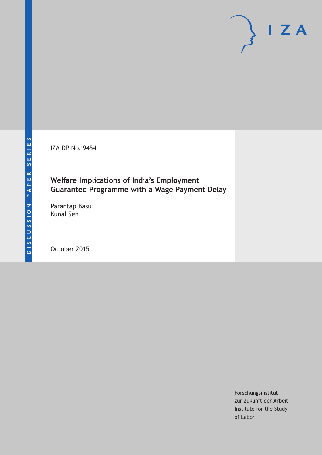IZA DP No. 9454

## **Welfare Implications of India's Employment Guarantee Programme with a Wage Payment Delay**

Parantap Basu Kunal Sen

October 2015

Forschungsinstitut zur Zukunft der Arbeit Institute for the Study of Labor

 $\mathsf{I}$  Z A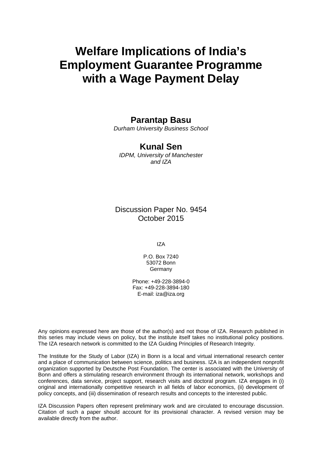# **Welfare Implications of India's Employment Guarantee Programme with a Wage Payment Delay**

## **Parantap Basu**

*Durham University Business School* 

## **Kunal Sen**

*IDPM, University of Manchester and IZA* 

Discussion Paper No. 9454 October 2015

IZA

P.O. Box 7240 53072 Bonn **Germany** 

Phone: +49-228-3894-0 Fax: +49-228-3894-180 E-mail: iza@iza.org

Any opinions expressed here are those of the author(s) and not those of IZA. Research published in this series may include views on policy, but the institute itself takes no institutional policy positions. The IZA research network is committed to the IZA Guiding Principles of Research Integrity.

The Institute for the Study of Labor (IZA) in Bonn is a local and virtual international research center and a place of communication between science, politics and business. IZA is an independent nonprofit organization supported by Deutsche Post Foundation. The center is associated with the University of Bonn and offers a stimulating research environment through its international network, workshops and conferences, data service, project support, research visits and doctoral program. IZA engages in (i) original and internationally competitive research in all fields of labor economics, (ii) development of policy concepts, and (iii) dissemination of research results and concepts to the interested public.

IZA Discussion Papers often represent preliminary work and are circulated to encourage discussion. Citation of such a paper should account for its provisional character. A revised version may be available directly from the author.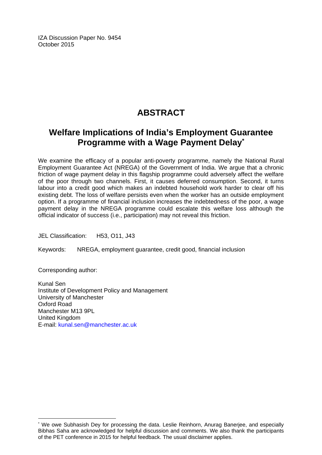IZA Discussion Paper No. 9454 October 2015

## **ABSTRACT**

## **Welfare Implications of India's Employment Guarantee Programme with a Wage Payment Delay\***

We examine the efficacy of a popular anti-poverty programme, namely the National Rural Employment Guarantee Act (NREGA) of the Government of India. We argue that a chronic friction of wage payment delay in this flagship programme could adversely affect the welfare of the poor through two channels. First, it causes deferred consumption. Second, it turns labour into a credit good which makes an indebted household work harder to clear off his existing debt. The loss of welfare persists even when the worker has an outside employment option. If a programme of financial inclusion increases the indebtedness of the poor, a wage payment delay in the NREGA programme could escalate this welfare loss although the official indicator of success (i.e., participation) may not reveal this friction.

JEL Classification: H53, O11, J43

Keywords: NREGA, employment guarantee, credit good, financial inclusion

Corresponding author:

 $\overline{\phantom{a}}$ 

Kunal Sen Institute of Development Policy and Management University of Manchester Oxford Road Manchester M13 9PL United Kingdom E-mail: kunal.sen@manchester.ac.uk

<sup>\*</sup> We owe Subhasish Dey for processing the data. Leslie Reinhorn, Anurag Banerjee, and especially Bibhas Saha are acknowledged for helpful discussion and comments. We also thank the participants of the PET conference in 2015 for helpful feedback. The usual disclaimer applies.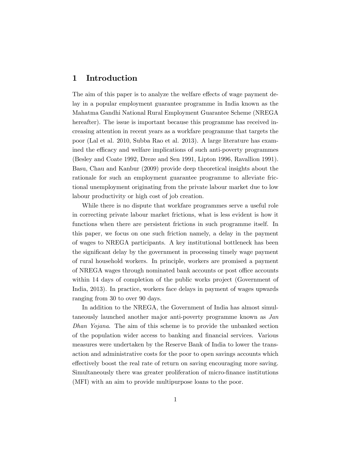### 1 Introduction

The aim of this paper is to analyze the welfare effects of wage payment delay in a popular employment guarantee programme in India known as the Mahatma Gandhi National Rural Employment Guarantee Scheme (NREGA hereafter). The issue is important because this programme has received increasing attention in recent years as a workfare programme that targets the poor (Lal et al. 2010, Subba Rao et al. 2013). A large literature has examined the efficacy and welfare implications of such anti-poverty programmes (Besley and Coate 1992, Dreze and Sen 1991, Lipton 1996, Ravallion 1991). Basu, Chau and Kanbur (2009) provide deep theoretical insights about the rationale for such an employment guarantee programme to alleviate frictional unemployment originating from the private labour market due to low labour productivity or high cost of job creation.

While there is no dispute that workfare programmes serve a useful role in correcting private labour market frictions, what is less evident is how it functions when there are persistent frictions in such programme itself. In this paper, we focus on one such friction namely, a delay in the payment of wages to NREGA participants. A key institutional bottleneck has been the significant delay by the government in processing timely wage payment of rural household workers. In principle, workers are promised a payment of NREGA wages through nominated bank accounts or post office accounts within 14 days of completion of the public works project (Government of India, 2013). In practice, workers face delays in payment of wages upwards ranging from 30 to over 90 days.

In addition to the NREGA, the Government of India has almost simultaneously launched another major anti-poverty programme known as Jan Dhan Yojana. The aim of this scheme is to provide the unbanked section of the population wider access to banking and Önancial services. Various measures were undertaken by the Reserve Bank of India to lower the transaction and administrative costs for the poor to open savings accounts which effectively boost the real rate of return on saving encouraging more saving. Simultaneously there was greater proliferation of micro-Önance institutions (MFI) with an aim to provide multipurpose loans to the poor.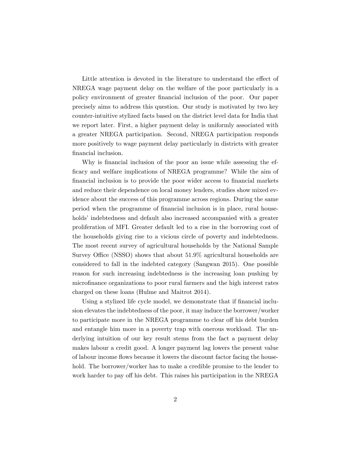Little attention is devoted in the literature to understand the effect of NREGA wage payment delay on the welfare of the poor particularly in a policy environment of greater financial inclusion of the poor. Our paper precisely aims to address this question. Our study is motivated by two key counter-intuitive stylized facts based on the district level data for India that we report later. First, a higher payment delay is uniformly associated with a greater NREGA participation. Second, NREGA participation responds more positively to wage payment delay particularly in districts with greater financial inclusion.

Why is financial inclusion of the poor an issue while assessing the ef-Öcacy and welfare implications of NREGA programme? While the aim of financial inclusion is to provide the poor wider access to financial markets and reduce their dependence on local money lenders, studies show mixed evidence about the success of this programme across regions. During the same period when the programme of Önancial inclusion is in place, rural households' indebtedness and default also increased accompanied with a greater proliferation of MFI. Greater default led to a rise in the borrowing cost of the households giving rise to a vicious circle of poverty and indebtedness. The most recent survey of agricultural households by the National Sample Survey Office (NSSO) shows that about  $51.9\%$  agricultural households are considered to fall in the indebted category (Sangwan 2015). One possible reason for such increasing indebtedness is the increasing loan pushing by microfinance organizations to poor rural farmers and the high interest rates charged on these loans (Hulme and Maitrot 2014).

Using a stylized life cycle model, we demonstrate that if financial inclusion elevates the indebtedness of the poor, it may induce the borrower/worker to participate more in the NREGA programme to clear off his debt burden and entangle him more in a poverty trap with onerous workload. The underlying intuition of our key result stems from the fact a payment delay makes labour a credit good. A longer payment lag lowers the present value of labour income áows because it lowers the discount factor facing the household. The borrower/worker has to make a credible promise to the lender to work harder to pay off his debt. This raises his participation in the NREGA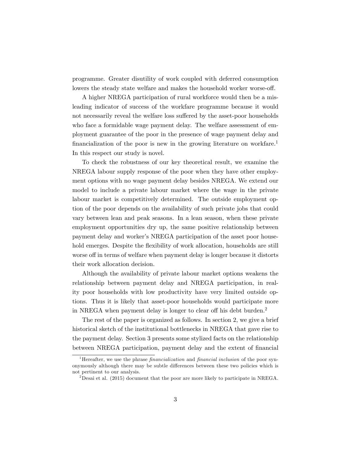programme. Greater disutility of work coupled with deferred consumption lowers the steady state welfare and makes the household worker worse-off.

A higher NREGA participation of rural workforce would then be a misleading indicator of success of the workfare programme because it would not necessarily reveal the welfare loss suffered by the asset-poor households who face a formidable wage payment delay. The welfare assessment of employment guarantee of the poor in the presence of wage payment delay and financialization of the poor is new in the growing literature on workfare.<sup>1</sup> In this respect our study is novel.

To check the robustness of our key theoretical result, we examine the NREGA labour supply response of the poor when they have other employment options with no wage payment delay besides NREGA. We extend our model to include a private labour market where the wage in the private labour market is competitively determined. The outside employment option of the poor depends on the availability of such private jobs that could vary between lean and peak seasons. In a lean season, when these private employment opportunities dry up, the same positive relationship between payment delay and worker's NREGA participation of the asset poor household emerges. Despite the flexibility of work allocation, households are still worse off in terms of welfare when payment delay is longer because it distorts their work allocation decision.

Although the availability of private labour market options weakens the relationship between payment delay and NREGA participation, in reality poor households with low productivity have very limited outside options. Thus it is likely that asset-poor households would participate more in NREGA when payment delay is longer to clear off his debt burden.<sup>2</sup>

The rest of the paper is organized as follows. In section 2, we give a brief historical sketch of the institutional bottlenecks in NREGA that gave rise to the payment delay. Section 3 presents some stylized facts on the relationship between NREGA participation, payment delay and the extent of financial

<sup>&</sup>lt;sup>1</sup>Hereafter, we use the phrase *financialization* and *financial inclusion* of the poor synonymously although there may be subtle differences between these two policies which is not pertinent to our analysis.

<sup>&</sup>lt;sup>2</sup> Desai et al. (2015) document that the poor are more likely to participate in NREGA.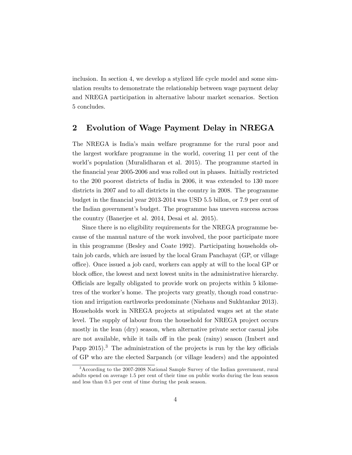inclusion. In section 4, we develop a stylized life cycle model and some simulation results to demonstrate the relationship between wage payment delay and NREGA participation in alternative labour market scenarios. Section 5 concludes.

### 2 Evolution of Wage Payment Delay in NREGA

The NREGA is Indiaís main welfare programme for the rural poor and the largest workfare programme in the world, covering 11 per cent of the world's population (Muralidharan et al. 2015). The programme started in the financial year 2005-2006 and was rolled out in phases. Initially restricted to the 200 poorest districts of India in 2006, it was extended to 130 more districts in 2007 and to all districts in the country in 2008. The programme budget in the financial year 2013-2014 was USD 5.5 billon, or 7.9 per cent of the Indian government's budget. The programme has uneven success across the country (Banerjee et al. 2014, Desai et al. 2015).

Since there is no eligibility requirements for the NREGA programme because of the manual nature of the work involved, the poor participate more in this programme (Besley and Coate 1992). Participating households obtain job cards, which are issued by the local Gram Panchayat (GP, or village office). Once issued a job card, workers can apply at will to the local GP or block office, the lowest and next lowest units in the administrative hierarchy. Officials are legally obligated to provide work on projects within 5 kilometres of the worker's home. The projects vary greatly, though road construction and irrigation earthworks predominate (Niehaus and Sukhtankar 2013). Households work in NREGA projects at stipulated wages set at the state level. The supply of labour from the household for NREGA project occurs mostly in the lean (dry) season, when alternative private sector casual jobs are not available, while it tails off in the peak (rainy) season (Imbert and Papp  $2015$ .<sup>3</sup> The administration of the projects is run by the key officials of GP who are the elected Sarpanch (or village leaders) and the appointed

<sup>3</sup>According to the 2007-2008 National Sample Survey of the Indian government, rural adults spend on average 1.5 per cent of their time on public works during the lean season and less than 0.5 per cent of time during the peak season.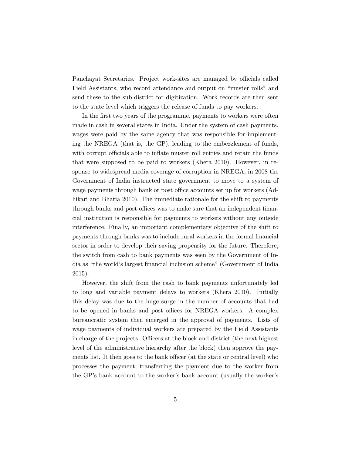Panchayat Secretaries. Project work-sites are managed by officials called Field Assistants, who record attendance and output on "muster rolls" and send these to the sub-district for digitization. Work records are then sent to the state level which triggers the release of funds to pay workers.

In the first two years of the programme, payments to workers were often made in cash in several states in India. Under the system of cash payments, wages were paid by the same agency that was responsible for implementing the NREGA (that is, the GP), leading to the embezzlement of funds, with corrupt officials able to inflate muster roll entries and retain the funds that were supposed to be paid to workers (Khera 2010). However, in response to widespread media coverage of corruption in NREGA, in 2008 the Government of India instructed state government to move to a system of wage payments through bank or post office accounts set up for workers (Adhikari and Bhatia 2010). The immediate rationale for the shift to payments through banks and post offices was to make sure that an independent financial institution is responsible for payments to workers without any outside interference. Finally, an important complementary objective of the shift to payments through banks was to include rural workers in the formal financial sector in order to develop their saving propensity for the future. Therefore, the switch from cash to bank payments was seen by the Government of India as "the world's largest financial inclusion scheme" (Government of India 2015).

However, the shift from the cash to bank payments unfortunately led to long and variable payment delays to workers (Khera 2010). Initially this delay was due to the huge surge in the number of accounts that had to be opened in banks and post offices for NREGA workers. A complex bureaucratic system then emerged in the approval of payments. Lists of wage payments of individual workers are prepared by the Field Assistants in charge of the projects. Officers at the block and district (the next highest level of the administrative hierarchy after the block) then approve the payments list. It then goes to the bank officer (at the state or central level) who processes the payment, transferring the payment due to the worker from the GP's bank account to the worker's bank account (usually the worker's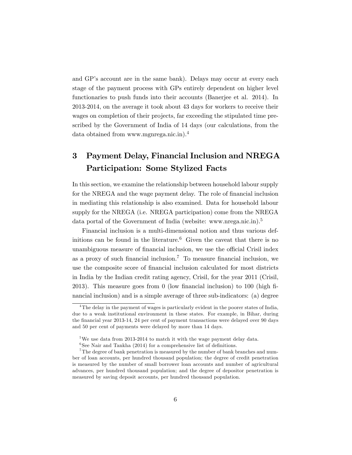and GP's account are in the same bank). Delays may occur at every each stage of the payment process with GPs entirely dependent on higher level functionaries to push funds into their accounts (Banerjee et al. 2014). In 2013-2014, on the average it took about 43 days for workers to receive their wages on completion of their projects, far exceeding the stipulated time prescribed by the Government of India of 14 days (our calculations, from the data obtained from www.mgnrega.nic.in).<sup>4</sup>

## 3 Payment Delay, Financial Inclusion and NREGA Participation: Some Stylized Facts

In this section, we examine the relationship between household labour supply for the NREGA and the wage payment delay. The role of financial inclusion in mediating this relationship is also examined. Data for household labour supply for the NREGA (i.e. NREGA participation) come from the NREGA data portal of the Government of India (website: www.nrega.nic.in).<sup>5</sup>

Financial inclusion is a multi-dimensional notion and thus various definitions can be found in the literature.<sup>6</sup> Given the caveat that there is no unambiguous measure of financial inclusion, we use the official Crisil index as a proxy of such financial inclusion.<sup>7</sup> To measure financial inclusion, we use the composite score of financial inclusion calculated for most districts in India by the Indian credit rating agency, Crisil, for the year 2011 (Crisil, 2013). This measure goes from 0 (low financial inclusion) to 100 (high financial inclusion) and is a simple average of three sub-indicators: (a) degree

<sup>&</sup>lt;sup>4</sup>The delay in the payment of wages is particularly evident in the poorer states of India, due to a weak institutional environment in these states. For example, in Bihar, during the financial year 2013-14, 24 per cent of payment transactions were delayed over 90 days and 50 per cent of payments were delayed by more than 14 days.

 $5$ We use data from 2013-2014 to match it with the wage payment delay data.

 $6$ See Nair and Tankha (2014) for a comprehensive list of definitions.

 ${\rm ^7}$  The degree of bank penetration is measured by the number of bank branches and number of loan accounts, per hundred thousand population; the degree of credit penetration is measured by the number of small borrower loan accounts and number of agricultural advances, per hundred thousand population; and the degree of depositor penetration is measured by saving deposit accounts, per hundred thousand population.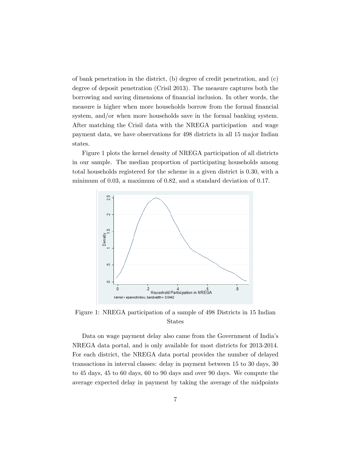of bank penetration in the district, (b) degree of credit penetration, and (c) degree of deposit penetration (Crisil 2013). The measure captures both the borrowing and saving dimensions of financial inclusion. In other words, the measure is higher when more households borrow from the formal financial system, and/or when more households save in the formal banking system. After matching the Crisil data with the NREGA participation and wage payment data, we have observations for 498 districts in all 15 major Indian states.

Figure 1 plots the kernel density of NREGA participation of all districts in our sample. The median proportion of participating households among total households registered for the scheme in a given district is 0.30, with a minimum of 0.03, a maximum of 0.82, and a standard deviation of 0.17.



Figure 1: NREGA participation of a sample of 498 Districts in 15 Indian States

Data on wage payment delay also came from the Government of India's NREGA data portal, and is only available for most districts for 2013-2014. For each district, the NREGA data portal provides the number of delayed transactions in interval classes: delay in payment between 15 to 30 days, 30 to 45 days, 45 to 60 days, 60 to 90 days and over 90 days. We compute the average expected delay in payment by taking the average of the midpoints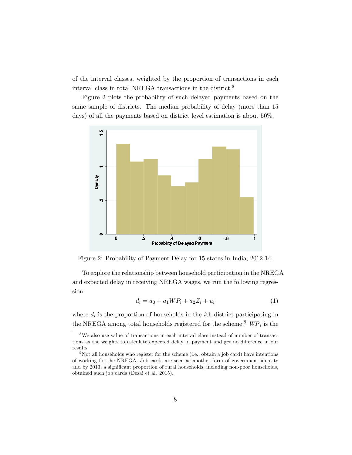of the interval classes, weighted by the proportion of transactions in each interval class in total NREGA transactions in the district.<sup>8</sup>

Figure 2 plots the probability of such delayed payments based on the same sample of districts. The median probability of delay (more than 15 days) of all the payments based on district level estimation is about 50%.



Figure 2: Probability of Payment Delay for 15 states in India, 2012-14.

To explore the relationship between household participation in the NREGA and expected delay in receiving NREGA wages, we run the following regression:

$$
d_i = a_0 + a_1 W P_i + a_2 Z_i + u_i \tag{1}
$$

where  $d_i$  is the proportion of households in the *i*<sup>th</sup> district participating in the NREGA among total households registered for the scheme;<sup>9</sup>  $\mathit{WP}_i$  is the

<sup>&</sup>lt;sup>8</sup>We also use value of transactions in each interval class instead of number of transactions as the weights to calculate expected delay in payment and get no difference in our results.

 $9$ Not all households who register for the scheme (i.e., obtain a job card) have intentions of working for the NREGA. Job cards are seen as another form of government identity and by 2013, a significant proportion of rural households, including non-poor households, obtained such job cards (Desai et al. 2015).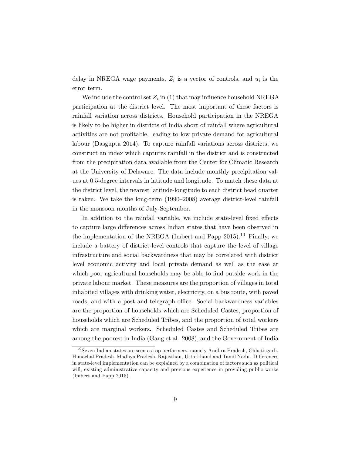delay in NREGA wage payments,  $Z_i$  is a vector of controls, and  $u_i$  is the error term.

We include the control set  $Z_i$  in (1) that may influence household NREGA participation at the district level. The most important of these factors is rainfall variation across districts. Household participation in the NREGA is likely to be higher in districts of India short of rainfall where agricultural activities are not profitable, leading to low private demand for agricultural labour (Dasgupta 2014). To capture rainfall variations across districts, we construct an index which captures rainfall in the district and is constructed from the precipitation data available from the Center for Climatic Research at the University of Delaware. The data include monthly precipitation values at 0.5-degree intervals in latitude and longitude. To match these data at the district level, the nearest latitude-longitude to each district head quarter is taken. We take the long-term  $(1990-2008)$  average district-level rainfall in the monsoon months of July-September.

In addition to the rainfall variable, we include state-level fixed effects to capture large differences across Indian states that have been observed in the implementation of the NREGA (Imbert and Papp 2015).<sup>10</sup> Finally, we include a battery of district-level controls that capture the level of village infrastructure and social backwardness that may be correlated with district level economic activity and local private demand as well as the ease at which poor agricultural households may be able to find outside work in the private labour market. These measures are the proportion of villages in total inhabited villages with drinking water, electricity, on a bus route, with paved roads, and with a post and telegraph office. Social backwardness variables are the proportion of households which are Scheduled Castes, proportion of households which are Scheduled Tribes, and the proportion of total workers which are marginal workers. Scheduled Castes and Scheduled Tribes are among the poorest in India (Gang et al. 2008), and the Government of India

<sup>10</sup>Seven Indian states are seen as top performers, namely Andhra Pradesh, Chhatisgarh, Himachal Pradesh, Madhya Pradesh, Rajasthan, Uttarkhand and Tamil Nadu. Differences in state-level implementation can be explained by a combination of factors such as political will, existing administrative capacity and previous experience in providing public works (Imbert and Papp 2015).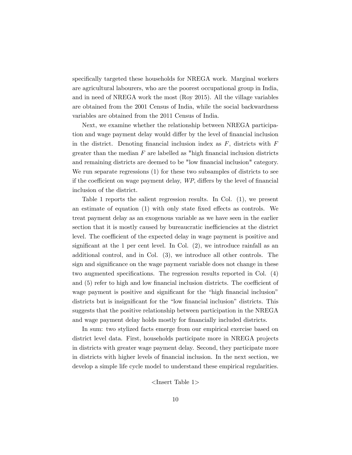specifically targeted these households for NREGA work. Marginal workers are agricultural labourers, who are the poorest occupational group in India, and in need of NREGA work the most (Roy 2015). All the village variables are obtained from the 2001 Census of India, while the social backwardness variables are obtained from the 2011 Census of India.

Next, we examine whether the relationship between NREGA participation and wage payment delay would differ by the level of financial inclusion in the district. Denoting financial inclusion index as  $F$ , districts with  $F$ greater than the median  $F$  are labelled as "high financial inclusion districts" and remaining districts are deemed to be "low financial inclusion" category. We run separate regressions (1) for these two subsamples of districts to see if the coefficient on wage payment delay,  $WP$ , differs by the level of financial inclusion of the district.

Table 1 reports the salient regression results. In Col. (1), we present an estimate of equation  $(1)$  with only state fixed effects as controls. We treat payment delay as an exogenous variable as we have seen in the earlier section that it is mostly caused by bureaucratic inefficiencies at the district level. The coefficient of the expected delay in wage payment is positive and significant at the 1 per cent level. In Col.  $(2)$ , we introduce rainfall as an additional control, and in Col. (3), we introduce all other controls. The sign and significance on the wage payment variable does not change in these two augmented specifications. The regression results reported in Col. (4) and  $(5)$  refer to high and low financial inclusion districts. The coefficient of wage payment is positive and significant for the "high financial inclusion" districts but is insignificant for the "low financial inclusion" districts. This suggests that the positive relationship between participation in the NREGA and wage payment delay holds mostly for financially included districts.

In sum: two stylized facts emerge from our empirical exercise based on district level data. First, households participate more in NREGA projects in districts with greater wage payment delay. Second, they participate more in districts with higher levels of Önancial inclusion. In the next section, we develop a simple life cycle model to understand these empirical regularities.

<Insert Table 1>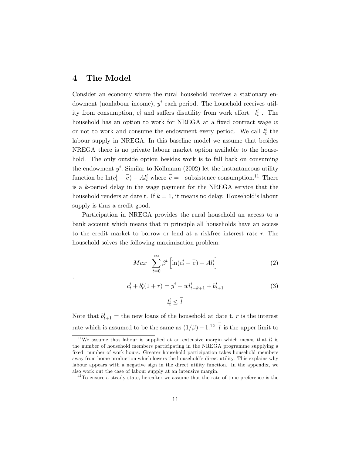### 4 The Model

.

Consider an economy where the rural household receives a stationary endowment (nonlabour income),  $y^i$  each period. The household receives utility from consumption,  $c_t^i$  and suffers disutility from work effort.  $l_t^i$ . The household has an option to work for NREGA at a fixed contract wage  $w$ or not to work and consume the endowment every period. We call  $l_t^i$  the labour supply in NREGA. In this baseline model we assume that besides NREGA there is no private labour market option available to the household. The only outside option besides work is to fall back on consuming the endowment  $y^i$ . Similar to Kollmann (2002) let the instantaneous utility function be  $\ln(c_t^i - \overline{c}) - Al_t^i$  where  $\overline{c} =$  subsistence consumption.<sup>11</sup> There is a k-period delay in the wage payment for the NREGA service that the household renders at date t. If  $k = 1$ , it means no delay. Household's labour supply is thus a credit good.

Participation in NREGA provides the rural household an access to a bank account which means that in principle all households have an access to the credit market to borrow or lend at a riskfree interest rate r: The household solves the following maximization problem:

$$
Max \sum_{t=0}^{\infty} \beta^t \left[ \ln(c_t^i - \overline{c}) - Al_t^i \right]
$$
 (2)

$$
c_t^i + b_t^i (1+r) = y^i + w l_{t-k+1}^i + b_{t+1}^i
$$
\n
$$
l_t^i \le \bar{l}
$$
\n(3)

Note that  $b_{t+1}^i$  = the new loans of the household at date t, r is the interest rate which is assumed to be the same as  $(1/\beta) - 1$ .<sup>12</sup>  $\bar{l}$  is the upper limit to

<sup>&</sup>lt;sup>11</sup>We assume that labour is supplied at an extensive margin which means that  $l_t^i$  is the number of household members participating in the NREGA programme supplying a fixed number of work hours. Greater household participation takes household members away from home production which lowers the household's direct utility. This explains why labour appears with a negative sign in the direct utility function. In the appendix, we also work out the case of labour supply at an intensive margin.

 $12$ To ensure a steady state, hereafter we assume that the rate of time preference is the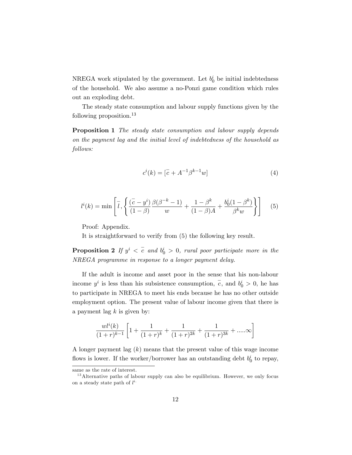NREGA work stipulated by the government. Let  $b_0^i$  be initial indebtedness of the household. We also assume a no-Ponzi game condition which rules out an exploding debt.

The steady state consumption and labour supply functions given by the following proposition.<sup>13</sup>

Proposition 1 The steady state consumption and labour supply depends on the payment lag and the initial level of indebtedness of the household as follows:

$$
c^{i}(k) = [\bar{c} + A^{-1}\beta^{k-1}w]
$$
 (4)

$$
l^{i}(k) = \min\left[\bar{l}, \left\{\frac{(\bar{c} - y^{i})}{(1 - \beta)} \frac{\beta(\beta^{-k} - 1)}{w} + \frac{1 - \beta^{k}}{(1 - \beta)A} + \frac{b_{0}^{i}(1 - \beta^{k})}{\beta^{k}w}\right\}\right]
$$
(5)

Proof: Appendix.

It is straightforward to verify from (5) the following key result.

**Proposition 2** If  $y^i < \overline{c}$  and  $b_0^i > 0$ , rural poor participate more in the NREGA programme in response to a longer payment delay.

If the adult is income and asset poor in the sense that his non-labour income  $y^i$  is less than his subsistence consumption,  $\overline{c}$ , and  $b_0^i > 0$ , he has to participate in NREGA to meet his ends because he has no other outside employment option. The present value of labour income given that there is a payment lag  $k$  is given by:

$$
\frac{wl^{i}(k)}{(1+r)^{k-1}}\left[1+\frac{1}{(1+r)^{k}}+\frac{1}{(1+r)^{2k}}+\frac{1}{(1+r)^{3k}}+\dots\infty\right]
$$

A longer payment lag  $(k)$  means that the present value of this wage income flows is lower. If the worker/borrower has an outstanding debt  $b_0^i$  to repay,

same as the rate of interest.

<sup>&</sup>lt;sup>13</sup> Alternative paths of labour supply can also be equilibrium. However, we only focus on a steady state path of  $l^{i}$ .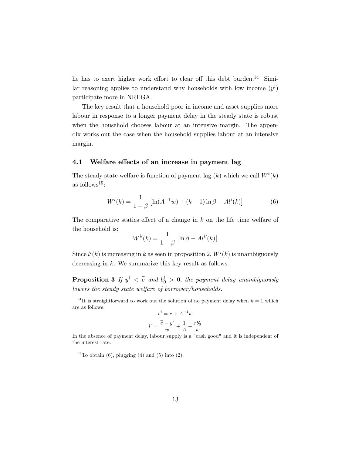he has to exert higher work effort to clear off this debt burden.<sup>14</sup> Similar reasoning applies to understand why households with low income  $(y^i)$ participate more in NREGA.

The key result that a household poor in income and asset supplies more labour in response to a longer payment delay in the steady state is robust when the household chooses labour at an intensive margin. The appendix works out the case when the household supplies labour at an intensive margin.

#### 4.1 Welfare effects of an increase in payment lag

The steady state welfare is function of payment lag  $(k)$  which we call  $W^{i}(k)$ as follows<sup>15</sup>:

$$
W^{i}(k) = \frac{1}{1-\beta} \left[ \ln(A^{-1}w) + (k-1)\ln\beta - Al^{i}(k) \right]
$$
 (6)

The comparative statics effect of a change in  $k$  on the life time welfare of the household is:

$$
W^{i'}(k) = \frac{1}{1-\beta} \left[ \ln \beta - Al^{i'}(k) \right]
$$

Since  $l^{i}(k)$  is increasing in k as seen in proposition 2,  $W^{i}(k)$  is unambiguously decreasing in k. We summarize this key result as follows.

**Proposition 3** If  $y^i < \overline{c}$  and  $b_0^i > 0$ , the payment delay unambiguously lowers the steady state welfare of borrower/households.

$$
c^i = \overline{c} + A^{-1}w
$$

$$
l^i = \frac{\overline{c} - y^i}{w} + \frac{1}{A} + \frac{rb_0^i}{w}
$$

In the absence of payment delay, labour supply is a "cash good" and it is independent of the interest rate.

<sup>15</sup>To obtain (6), plugging (4) and (5) into (2).

<sup>&</sup>lt;sup>14</sup>It is straightforward to work out the solution of no payment delay when  $k = 1$  which are as follows: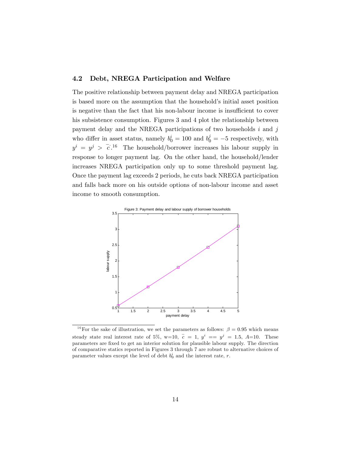#### 4.2 Debt, NREGA Participation and Welfare

The positive relationship between payment delay and NREGA participation is based more on the assumption that the household's initial asset position is negative than the fact that his non-labour income is insufficient to cover his subsistence consumption. Figures 3 and 4 plot the relationship between payment delay and the NREGA participations of two households  $i$  and  $j$ who differ in asset status, namely  $b_0^i = 100$  and  $b_0^j = -5$  respectively, with  $y^{i} = y^{j} > \overline{c}$ .<sup>16</sup> The household/borrower increases his labour supply in response to longer payment lag. On the other hand, the household/lender increases NREGA participation only up to some threshold payment lag. Once the payment lag exceeds 2 periods, he cuts back NREGA participation and falls back more on his outside options of non-labour income and asset income to smooth consumption.



<sup>&</sup>lt;sup>16</sup>For the sake of illustration, we set the parameters as follows:  $\beta = 0.95$  which means steady state real interest rate of 5%, w=10,  $\bar{c} = 1$ ,  $y^i == y^j = 1.5$ , A=10. These parameters are Öxed to get an interior solution for plausible labour supply. The direction of comparative statics reported in Figures 3 through 7 are robust to alternative choices of parameter values except the level of debt  $b_0^i$  and the interest rate, r.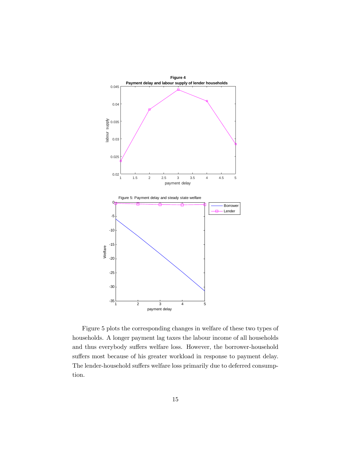

Figure 5 plots the corresponding changes in welfare of these two types of households. A longer payment lag taxes the labour income of all households and thus everybody suffers welfare loss. However, the borrower-household suffers most because of his greater workload in response to payment delay. The lender-household suffers welfare loss primarily due to deferred consumption.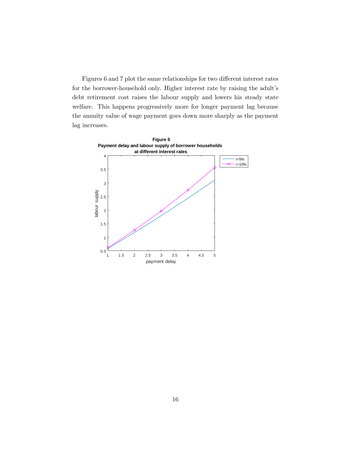Figures 6 and 7 plot the same relationships for two different interest rates for the borrower-household only. Higher interest rate by raising the adult's debt retirement cost raises the labour supply and lowers his steady state welfare. This happens progressively more for longer payment lag because the annuity value of wage payment goes down more sharply as the payment lag increases.

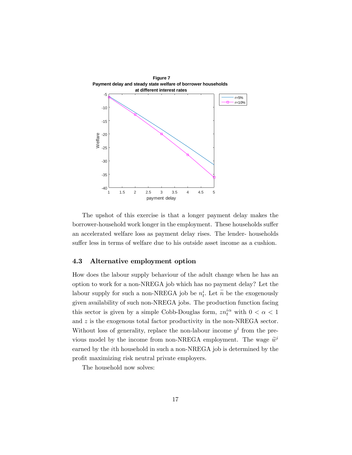

The upshot of this exercise is that a longer payment delay makes the borrower-household work longer in the employment. These households suffer an accelerated welfare loss as payment delay rises. The lender- households suffer less in terms of welfare due to his outside asset income as a cushion.

#### 4.3 Alternative employment option

How does the labour supply behaviour of the adult change when he has an option to work for a non-NREGA job which has no payment delay? Let the labour supply for such a non-NREGA job be  $n_t^i$ . Let  $\overline{n}$  be the exogenously given availability of such non-NREGA jobs. The production function facing this sector is given by a simple Cobb-Douglas form,  $z n_t^{i\alpha}$  with  $0 < \alpha < 1$ and  $z$  is the exogenous total factor productivity in the non-NREGA sector. Without loss of generality, replace the non-labour income  $y^i$  from the previous model by the income from non-NREGA employment. The wage  $\widetilde{w}^i$ earned by the ith household in such a non-NREGA job is determined by the profit maximizing risk neutral private employers.

The household now solves: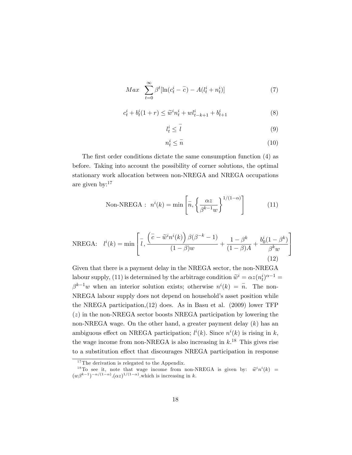$$
Max \sum_{t=0}^{\infty} \beta^t [\ln(c_t^i - \overline{c}) - A(l_t^i + n_t^i)] \tag{7}
$$

$$
c_t^i + b_t^i (1+r) \le \tilde{w}^i n_t^i + w l_{t-k+1}^i + b_{t+1}^i \tag{8}
$$

$$
l_t^i \le \overline{l} \tag{9}
$$

$$
n_t^i \le \bar{n} \tag{10}
$$

The first order conditions dictate the same consumption function (4) as before. Taking into account the possibility of corner solutions, the optimal stationary work allocation between non-NREGA and NREGA occupations are given by:<sup>17</sup>

$$
\text{Non-NREGA}: \quad n^i(k) = \min\left[\bar{n}, \left\{\frac{\alpha z}{\beta^{k-1} w}\right\}^{1/(1-\alpha)}\right] \tag{11}
$$

NREGA: 
$$
l^{i}(k) = \min \left[ \overline{l}, \frac{\left( \overline{c} - \widetilde{w}^{i} n^{i}(k) \right) \beta(\beta^{-k} - 1)}{(1 - \beta)w} + \frac{1 - \beta^{k}}{(1 - \beta)A} + \frac{b_{0}^{i}(1 - \beta^{k})}{\beta^{k}w} \right]
$$
(12)

Given that there is a payment delay in the NREGA sector, the non-NREGA labour supply, (11) is determined by the arbitrage condition  $\widetilde{w}^i = \alpha z (n_t^i)^{\alpha - 1} =$  $\beta^{k-1}w$  when an interior solution exists; otherwise  $n^{i}(k) = \overline{n}$ . The non-NREGA labour supply does not depend on household's asset position while the NREGA participation,(12) does. As in Basu et al. (2009) lower TFP  $(z)$  in the non-NREGA sector boosts NREGA participation by lowering the non-NREGA wage. On the other hand, a greater payment delay (k) has an ambiguous effect on NREGA participation;  $l^{i}(k)$ . Since  $n^{i}(k)$  is rising in k, the wage income from non-NREGA is also increasing in  $k<sup>18</sup>$ . This gives rise to a substitution effect that discourages NREGA participation in response

<sup>&</sup>lt;sup>17</sup>The derivation is relegated to the Appendix.

<sup>&</sup>lt;sup>18</sup>To see it, note that wage income from non-NREGA is given by:  $\tilde{w}^i n^i(k) =$ <br> $e^{(k-1)-\alpha/(1-\alpha)}$  (expl( $1-\alpha$ ) and integrate in the second integrated in the second integrated in the second integrated in the second integr  $(w\beta^{k-1})^{-\alpha/(1-\alpha)} \cdot (\alpha z)^{1/(1-\alpha)}$  which is increasing in k.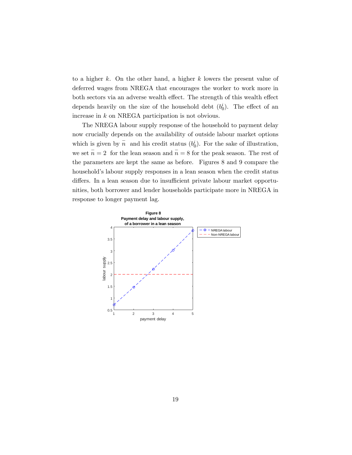to a higher  $k$ . On the other hand, a higher  $k$  lowers the present value of deferred wages from NREGA that encourages the worker to work more in both sectors via an adverse wealth effect. The strength of this wealth effect depends heavily on the size of the household debt  $(b_0^i)$ . The effect of an increase in k on NREGA participation is not obvious.

The NREGA labour supply response of the household to payment delay now crucially depends on the availability of outside labour market options which is given by  $\overline{n}$  and his credit status  $(b_0^i)$ . For the sake of illustration, we set  $\bar{n} = 2$  for the lean season and  $\bar{n} = 8$  for the peak season. The rest of the parameters are kept the same as before. Figures 8 and 9 compare the household's labour supply responses in a lean season when the credit status differs. In a lean season due to insufficient private labour market opportunities, both borrower and lender households participate more in NREGA in response to longer payment lag.

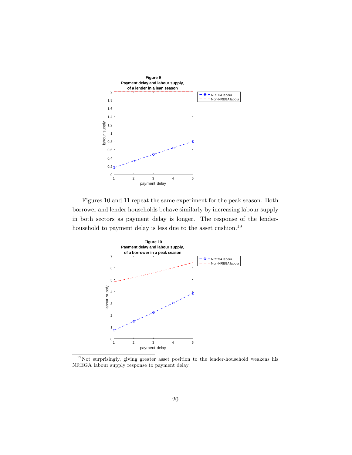

Figures 10 and 11 repeat the same experiment for the peak season. Both borrower and lender households behave similarly by increasing labour supply in both sectors as payment delay is longer. The response of the lenderhousehold to payment delay is less due to the asset cushion.<sup>19</sup>



 $19$ Not surprisingly, giving greater asset position to the lender-household weakens his NREGA labour supply response to payment delay.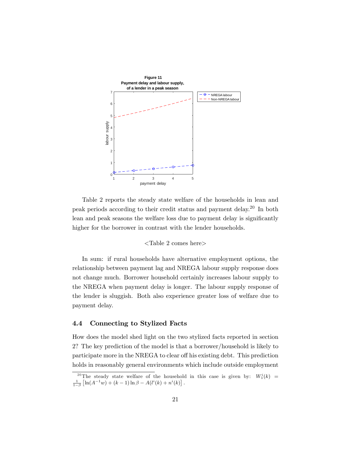

Table 2 reports the steady state welfare of the households in lean and peak periods according to their credit status and payment delay.<sup>20</sup> In both lean and peak seasons the welfare loss due to payment delay is significantly higher for the borrower in contrast with the lender households.

#### <Table 2 comes here>

In sum: if rural households have alternative employment options, the relationship between payment lag and NREGA labour supply response does not change much. Borrower household certainly increases labour supply to the NREGA when payment delay is longer. The labour supply response of the lender is sluggish. Both also experience greater loss of welfare due to payment delay.

#### 4.4 Connecting to Stylized Facts

How does the model shed light on the two stylized facts reported in section 2? The key prediction of the model is that a borrower/household is likely to participate more in the NREGA to clear off his existing debt. This prediction holds in reasonably general environments which include outside employment

<sup>&</sup>lt;sup>20</sup>The steady state welfare of the household in this case is given by:  $W_1^i(k)$  =  $\frac{1}{1-\beta}\left[\ln(A^{-1}w) + (k-1)\ln\beta - A(l^i(k) + n^i(k)\right].$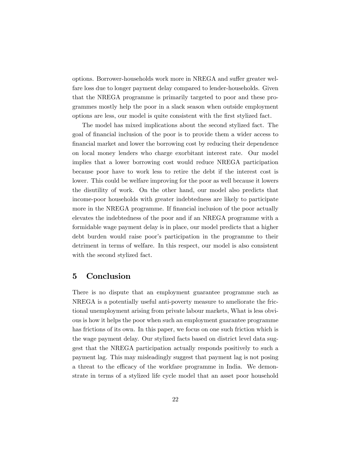options. Borrower-households work more in NREGA and suffer greater welfare loss due to longer payment delay compared to lender-households. Given that the NREGA programme is primarily targeted to poor and these programmes mostly help the poor in a slack season when outside employment options are less, our model is quite consistent with the Örst stylized fact.

The model has mixed implications about the second stylized fact. The goal of Önancial inclusion of the poor is to provide them a wider access to Önancial market and lower the borrowing cost by reducing their dependence on local money lenders who charge exorbitant interest rate. Our model implies that a lower borrowing cost would reduce NREGA participation because poor have to work less to retire the debt if the interest cost is lower. This could be welfare improving for the poor as well because it lowers the disutility of work. On the other hand, our model also predicts that income-poor households with greater indebtedness are likely to participate more in the NREGA programme. If financial inclusion of the poor actually elevates the indebtedness of the poor and if an NREGA programme with a formidable wage payment delay is in place, our model predicts that a higher debt burden would raise poor's participation in the programme to their detriment in terms of welfare. In this respect, our model is also consistent with the second stylized fact.

### 5 Conclusion

There is no dispute that an employment guarantee programme such as NREGA is a potentially useful anti-poverty measure to ameliorate the frictional unemployment arising from private labour markets, What is less obvious is how it helps the poor when such an employment guarantee programme has frictions of its own. In this paper, we focus on one such friction which is the wage payment delay. Our stylized facts based on district level data suggest that the NREGA participation actually responds positively to such a payment lag. This may misleadingly suggest that payment lag is not posing a threat to the efficacy of the workfare programme in India. We demonstrate in terms of a stylized life cycle model that an asset poor household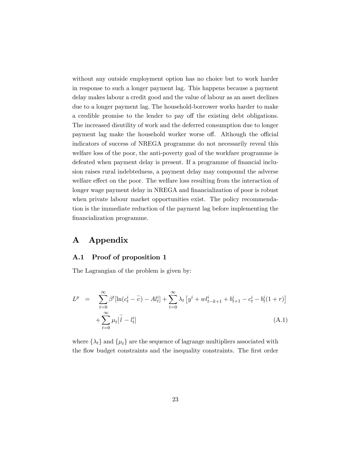without any outside employment option has no choice but to work harder in response to such a longer payment lag. This happens because a payment delay makes labour a credit good and the value of labour as an asset declines due to a longer payment lag. The household-borrower works harder to make a credible promise to the lender to pay off the existing debt obligations. The increased disutility of work and the deferred consumption due to longer payment lag make the household worker worse off. Although the official indicators of success of NREGA programme do not necessarily reveal this welfare loss of the poor, the anti-poverty goal of the workfare programme is defeated when payment delay is present. If a programme of financial inclusion raises rural indebtedness, a payment delay may compound the adverse welfare effect on the poor. The welfare loss resulting from the interaction of longer wage payment delay in NREGA and financialization of poor is robust when private labour market opportunities exist. The policy recommendation is the immediate reduction of the payment lag before implementing the financialization programme.

## A Appendix

#### A.1 Proof of proposition 1

The Lagrangian of the problem is given by:

$$
L^{p} = \sum_{t=0}^{\infty} \beta^{t} [\ln(c_{t}^{i} - \overline{c}) - At_{t}^{i}] + \sum_{t=0}^{\infty} \lambda_{t} [y^{i} + w t_{t-k+1}^{i} + b_{t+1}^{i} - c_{t}^{i} - b_{t}^{i} (1+r)] + \sum_{t=0}^{\infty} \mu_{t} [\overline{l} - l_{t}^{i}]
$$
\n(A.1)

where  $\{\lambda_t\}$  and  $\{\mu_t\}$  are the sequence of lagrange multipliers associated with the flow budget constraints and the inequality constraints. The first order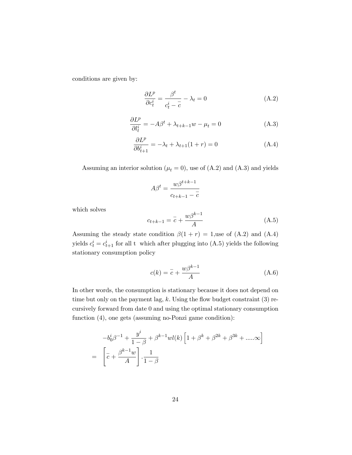conditions are given by:

$$
\frac{\partial L^p}{\partial c_t^i} = \frac{\beta^t}{c_t^i - \overline{c}} - \lambda_t = 0
$$
 (A.2)

$$
\frac{\partial L^p}{\partial l_t^i} = -A\beta^t + \lambda_{t+k-1}w - \mu_t = 0 \tag{A.3}
$$

$$
\frac{\partial L^p}{\partial b_{t+1}^i} = -\lambda_t + \lambda_{t+1}(1+r) = 0 \tag{A.4}
$$

Assuming an interior solution ( $\mu_t = 0$ ), use of (A.2) and (A.3) and yields

$$
A\beta^t = \frac{w\beta^{t+k-1}}{c_{t+k-1} - \overline{c}}
$$

which solves

$$
c_{t+k-1} = \overline{c} + \frac{w\beta^{k-1}}{A} \tag{A.5}
$$

Assuming the steady state condition  $\beta(1 + r) = 1$ , use of (A.2) and (A.4) yields  $c_t^i = c_{t+1}^i$  for all t which after plugging into (A.5) yields the following stationary consumption policy

$$
c(k) = \overline{c} + \frac{w\beta^{k-1}}{A} \tag{A.6}
$$

In other words, the consumption is stationary because it does not depend on time but only on the payment lag,  $k$ . Using the flow budget constraint  $(3)$  recursively forward from date 0 and using the optimal stationary consumption function (4), one gets (assuming no-Ponzi game condition):

$$
-b_0^i \beta^{-1} + \frac{y^i}{1-\beta} + \beta^{k-1} w l(k) \left[ 1 + \beta^k + \beta^{2k} + \beta^{3k} + \dots \infty \right]
$$

$$
= \left[ \overline{c} + \frac{\beta^{k-1} w}{A} \right] \cdot \frac{1}{1-\beta}
$$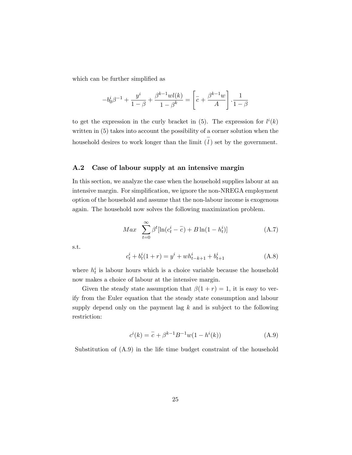which can be further simplified as

$$
-b_0^i \beta^{-1} + \frac{y^i}{1-\beta} + \frac{\beta^{k-1}wl(k)}{1-\beta^k} = \left[\overline{c} + \frac{\beta^{k-1}w}{A}\right] \cdot \frac{1}{1-\beta}
$$

to get the expression in the curly bracket in (5). The expression for  $l^{i}(k)$ written in (5) takes into account the possibility of a corner solution when the household desires to work longer than the limit  $(\overline{l})$  set by the government.

#### A.2 Case of labour supply at an intensive margin

In this section, we analyze the case when the household supplies labour at an intensive margin. For simplification, we ignore the non-NREGA employment option of the household and assume that the non-labour income is exogenous again. The household now solves the following maximization problem.

$$
Max \sum_{t=0}^{\infty} \beta^{t} [\ln(c_{t}^{i} - \bar{c}) + B \ln(1 - h_{t}^{i})]
$$
 (A.7)

s.t.

$$
c_t^i + b_t^i (1+r) = y^i + wh_{t-k+1}^i + b_{t+1}^i
$$
\n(A.8)

where  $h_t^i$  is labour hours which is a choice variable because the household now makes a choice of labour at the intensive margin.

Given the steady state assumption that  $\beta(1 + r) = 1$ , it is easy to verify from the Euler equation that the steady state consumption and labour supply depend only on the payment lag  $k$  and is subject to the following restriction:

$$
c^{i}(k) = \overline{c} + \beta^{k-1} B^{-1} w(1 - h^{i}(k))
$$
 (A.9)

Substitution of (A.9) in the life time budget constraint of the household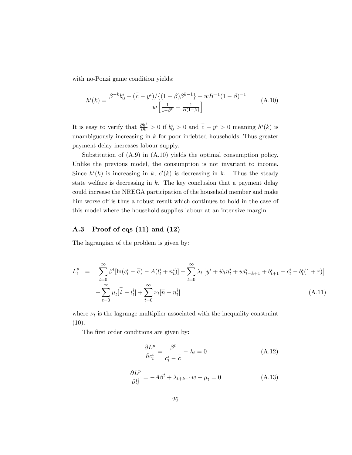with no-Ponzi game condition yields:

$$
h^{i}(k) = \frac{\beta^{-k}b_{0}^{i} + (\bar{c} - y^{i})/\{(1 - \beta)\beta^{k-1}\} + wB^{-1}(1 - \beta)^{-1}}{w\left[\frac{1}{1 - \beta^{k}} + \frac{1}{B(1 - \beta)}\right]}
$$
(A.10)

It is easy to verify that  $\frac{\partial h^i}{\partial k} > 0$  if  $b_0^i > 0$  and  $\overline{c} - y^i > 0$  meaning  $h^i(k)$  is unambiguously increasing in  $k$  for poor indebted households. Thus greater payment delay increases labour supply.

Substitution of (A.9) in (A.10) yields the optimal consumption policy. Unlike the previous model, the consumption is not invariant to income. Since  $h^{i}(k)$  is increasing in k,  $c^{i}(k)$  is decreasing in k. Thus the steady state welfare is decreasing in  $k$ . The key conclusion that a payment delay could increase the NREGA participation of the household member and make him worse off is thus a robust result which continues to hold in the case of this model where the household supplies labour at an intensive margin.

#### A.3 Proof of eqs (11) and (12)

The lagrangian of the problem is given by:

$$
L_1^p = \sum_{t=0}^{\infty} \beta^t [\ln(c_t^i - \bar{c}) - A(l_t^i + n_t^i)] + \sum_{t=0}^{\infty} \lambda_t [y^i + \tilde{w}_t n_t^i + w l_{t-k+1}^i + b_{t+1}^i - c_t^i - b_t^i (1+r)] + \sum_{t=0}^{\infty} \mu_t [\bar{i} - l_t^i] + \sum_{t=0}^{\infty} \nu_t [\bar{n} - n_t^i]
$$
\n(A.11)

where  $\nu_t$  is the lagrange multiplier associated with the inequality constraint  $(10).$ 

The first order conditions are given by:

$$
\frac{\partial L^p}{\partial c_t^i} = \frac{\beta^t}{c_t^i - \overline{c}} - \lambda_t = 0 \tag{A.12}
$$

$$
\frac{\partial L^p}{\partial l_t^i} = -A\beta^t + \lambda_{t+k-1}w - \mu_t = 0 \tag{A.13}
$$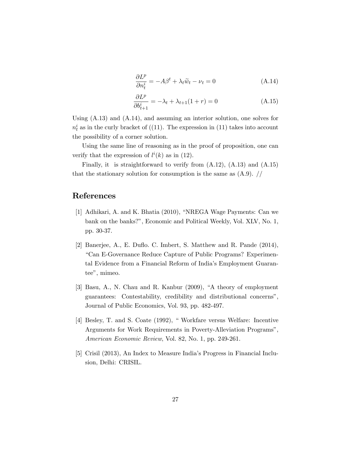$$
\frac{\partial L^p}{\partial n_t^i} = -A\beta^t + \lambda_t \widetilde{w}_t - \nu_t = 0 \tag{A.14}
$$

$$
\frac{\partial L^p}{\partial b_{t+1}^i} = -\lambda_t + \lambda_{t+1}(1+r) = 0 \tag{A.15}
$$

Using (A.13) and (A.14), and assuming an interior solution, one solves for  $n_t^i$  as in the curly bracket of ((11). The expression in (11) takes into account the possibility of a corner solution.

Using the same line of reasoning as in the proof of proposition, one can verify that the expression of  $l^{i}(k)$  as in (12).

Finally, it is straightforward to verify from (A.12), (A.13) and (A.15) that the stationary solution for consumption is the same as  $(A.9)$ . //

### References

- [1] Adhikari, A. and K. Bhatia  $(2010)$ , "NREGA Wage Payments: Can we bank on the banks?", Economic and Political Weekly, Vol. XLV, No. 1, pp. 30-37.
- [2] Banerjee, A., E. Duáo. C. Imbert, S. Matthew and R. Pande (2014), ìCan E-Governance Reduce Capture of Public Programs? Experimental Evidence from a Financial Reform of Indiaís Employment Guarantee", mimeo.
- $[3]$  Basu, A., N. Chau and R. Kanbur  $(2009)$ , "A theory of employment guarantees: Contestability, credibility and distributional concerns", Journal of Public Economics, Vol. 93, pp. 482-497.
- [4] Besley, T. and S. Coate (1992), "Workfare versus Welfare: Incentive Arguments for Work Requirements in Poverty-Alleviation Programs", American Economic Review, Vol. 82, No. 1, pp. 249-261.
- [5] Crisil (2013), An Index to Measure India's Progress in Financial Inclusion, Delhi: CRISIL.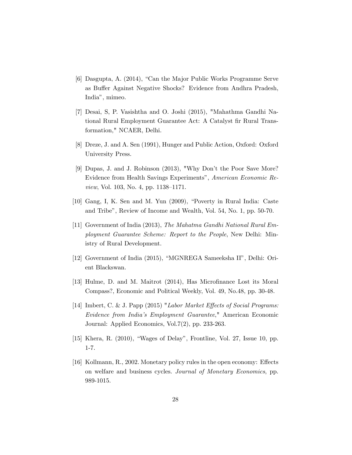- [6] Dasgupta, A. (2014), "Can the Major Public Works Programme Serve as Buffer Against Negative Shocks? Evidence from Andhra Pradesh, Indiaî, mimeo.
- [7] Desai, S, P. Vasishtha and O. Joshi (2015), "Mahathma Gandhi National Rural Employment Guarantee Act: A Catalyst Ör Rural Transformation," NCAER, Delhi.
- [8] Dreze, J. and A. Sen (1991), Hunger and Public Action, Oxford: Oxford University Press.
- [9] Dupas, J. and J. Robinson (2013), "Why Don't the Poor Save More? Evidence from Health Savings Experiments", American Economic Review, Vol. 103, No. 4, pp.  $1138-1171$ .
- $[10]$  Gang, I, K. Sen and M. Yun  $(2009)$ , "Poverty in Rural India: Caste and Tribe", Review of Income and Wealth, Vol. 54, No. 1, pp. 50-70.
- [11] Government of India (2013), The Mahatma Gandhi National Rural Employment Guarantee Scheme: Report to the People, New Delhi: Ministry of Rural Development.
- [12] Government of India  $(2015)$ , "MGNREGA Sameeksha II", Delhi: Orient Blackswan.
- [13] Hulme, D. and M. Maitrot (2014), Has MicroÖnance Lost its Moral Compass?, Economic and Political Weekly, Vol. 49, No.48, pp. 30-48.
- [14] Imbert, C. & J. Papp (2015) "Labor Market Effects of Social Programs: Evidence from Indiaís Employment Guarantee," American Economic Journal: Applied Economics, Vol.7(2), pp. 233-263.
- [15] Khera, R.  $(2010)$ , "Wages of Delay", Frontline, Vol. 27, Issue 10, pp. 1-7.
- [16] Kollmann, R., 2002. Monetary policy rules in the open economy: Effects on welfare and business cycles. Journal of Monetary Economics, pp. 989-1015.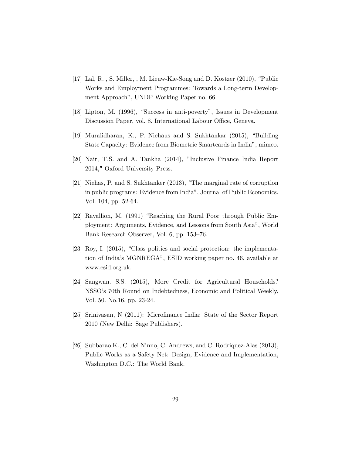- [17] Lal, R., S. Miller, , M. Lieuw-Kie-Song and D. Kostzer  $(2010)$ , "Public Works and Employment Programmes: Towards a Long-term Development Approach", UNDP Working Paper no. 66.
- [18] Lipton, M. (1996), "Success in anti-poverty", Issues in Development Discussion Paper, vol. 8. International Labour Office, Geneva.
- [19] Muralidharan, K., P. Niehaus and S. Sukhtankar (2015), "Building State Capacity: Evidence from Biometric Smartcards in Indiaî, mimeo.
- [20] Nair, T.S. and A. Tankha (2014), "Inclusive Finance India Report 2014," Oxford University Press.
- [21] Niehas, P. and S. Sukhtanker  $(2013)$ , "The marginal rate of corruption in public programs: Evidence from India", Journal of Public Economics, Vol. 104, pp. 52-64.
- [22] Ravallion, M. (1991) "Reaching the Rural Poor through Public Employment: Arguments, Evidence, and Lessons from South Asiaî, World Bank Research Observer, Vol. 6, pp. 153–76.
- $[23]$  Roy, I.  $(2015)$ , "Class politics and social protection: the implementation of India's MGNREGA", ESID working paper no. 46, available at www.esid.org.uk.
- [24] Sangwan. S.S. (2015), More Credit for Agricultural Households? NSSOís 70th Round on Indebtedness, Economic and Political Weekly, Vol. 50. No.16, pp. 23-24.
- [25] Srinivasan, N (2011): Microfinance India: State of the Sector Report 2010 (New Delhi: Sage Publishers).
- [26] Subbarao K., C. del Ninno, C. Andrews, and C. Rodriquez-Alas (2013), Public Works as a Safety Net: Design, Evidence and Implementation, Washington D.C.: The World Bank.